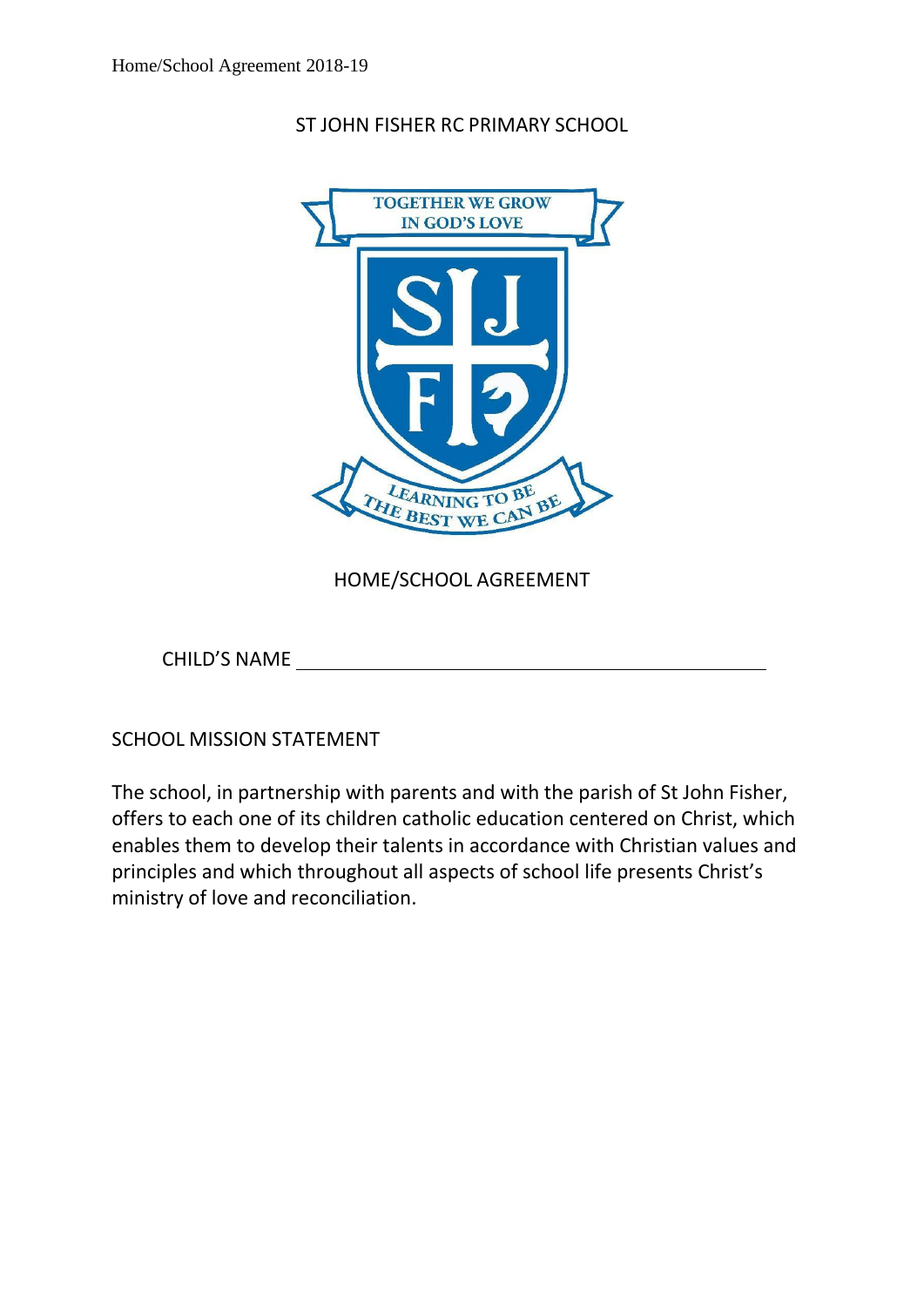ST JOHN FISHER RC PRIMARY SCHOOL



HOME/SCHOOL AGREEMENT

CHILD'S NAME

SCHOOL MISSION STATEMENT

The school, in partnership with parents and with the parish of St John Fisher, offers to each one of its children catholic education centered on Christ, which enables them to develop their talents in accordance with Christian values and principles and which throughout all aspects of school life presents Christ's ministry of love and reconciliation.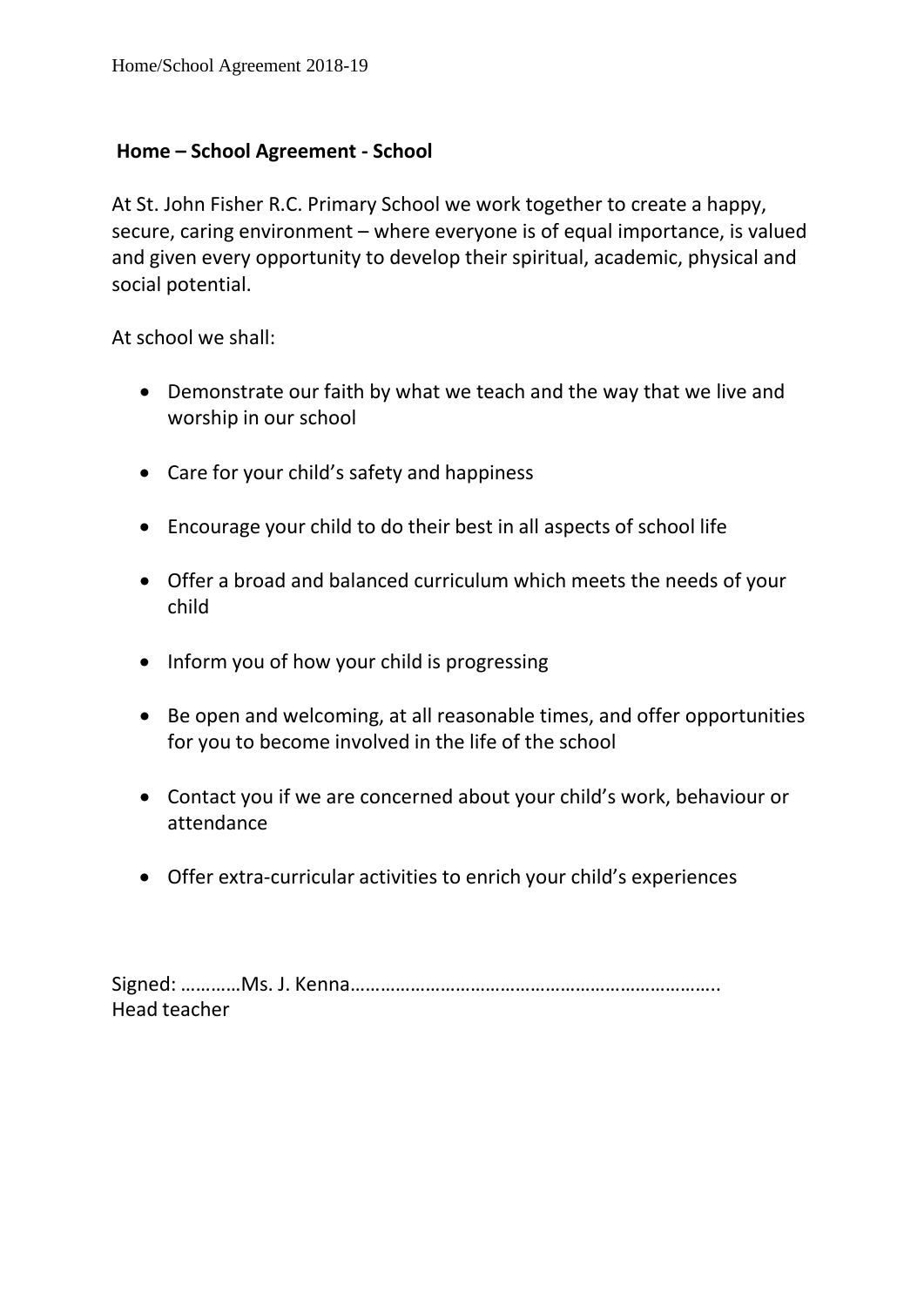## **Home – School Agreement - School**

At St. John Fisher R.C. Primary School we work together to create a happy, secure, caring environment – where everyone is of equal importance, is valued and given every opportunity to develop their spiritual, academic, physical and social potential.

At school we shall:

- Demonstrate our faith by what we teach and the way that we live and worship in our school
- Care for your child's safety and happiness
- Encourage your child to do their best in all aspects of school life
- Offer a broad and balanced curriculum which meets the needs of your child
- Inform you of how your child is progressing
- Be open and welcoming, at all reasonable times, and offer opportunities for you to become involved in the life of the school
- Contact you if we are concerned about your child's work, behaviour or attendance
- Offer extra-curricular activities to enrich your child's experiences

Signed: …………Ms. J. Kenna……………………………………………………………….. Head teacher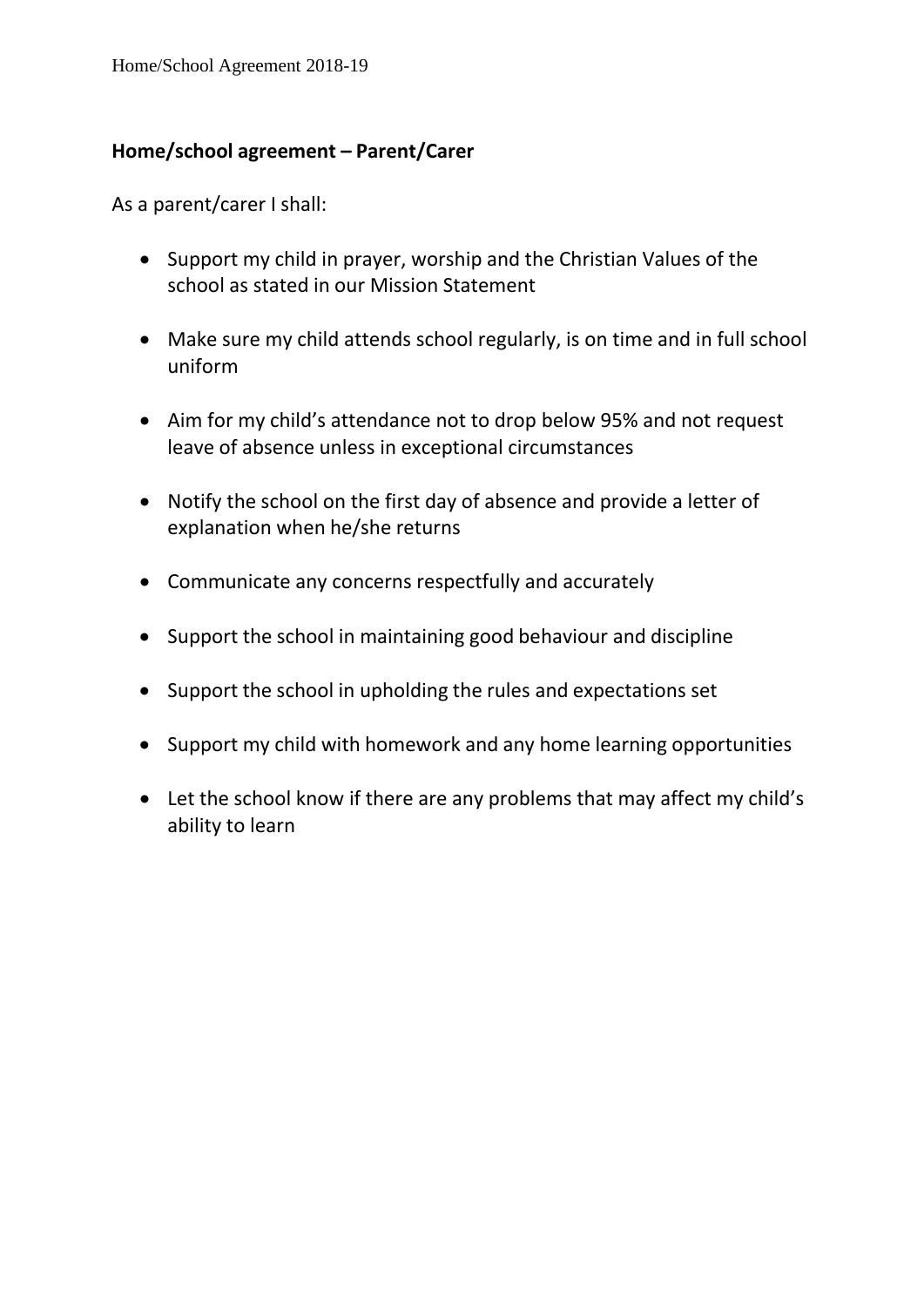## **Home/school agreement – Parent/Carer**

As a parent/carer I shall:

- Support my child in prayer, worship and the Christian Values of the school as stated in our Mission Statement
- Make sure my child attends school regularly, is on time and in full school uniform
- Aim for my child's attendance not to drop below 95% and not request leave of absence unless in exceptional circumstances
- Notify the school on the first day of absence and provide a letter of explanation when he/she returns
- Communicate any concerns respectfully and accurately
- Support the school in maintaining good behaviour and discipline
- Support the school in upholding the rules and expectations set
- Support my child with homework and any home learning opportunities
- Let the school know if there are any problems that may affect my child's ability to learn